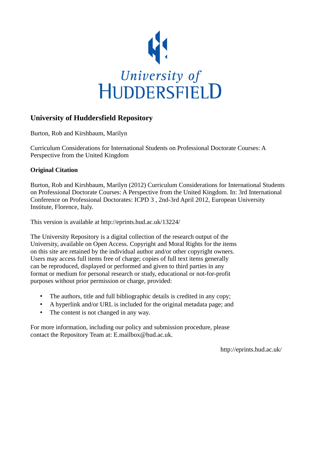

# **University of Huddersfield Repository**

Burton, Rob and Kirshbaum, Marilyn

Curriculum Considerations for International Students on Professional Doctorate Courses: A Perspective from the United Kingdom

## **Original Citation**

Burton, Rob and Kirshbaum, Marilyn (2012) Curriculum Considerations for International Students on Professional Doctorate Courses: A Perspective from the United Kingdom. In: 3rd International Conference on Professional Doctorates: ICPD 3 , 2nd-3rd April 2012, European University Institute, Florence, Italy.

This version is available at http://eprints.hud.ac.uk/13224/

The University Repository is a digital collection of the research output of the University, available on Open Access. Copyright and Moral Rights for the items on this site are retained by the individual author and/or other copyright owners. Users may access full items free of charge; copies of full text items generally can be reproduced, displayed or performed and given to third parties in any format or medium for personal research or study, educational or not-for-profit purposes without prior permission or charge, provided:

- The authors, title and full bibliographic details is credited in any copy;
- A hyperlink and/or URL is included for the original metadata page; and
- The content is not changed in any way.

For more information, including our policy and submission procedure, please contact the Repository Team at: E.mailbox@hud.ac.uk.

http://eprints.hud.ac.uk/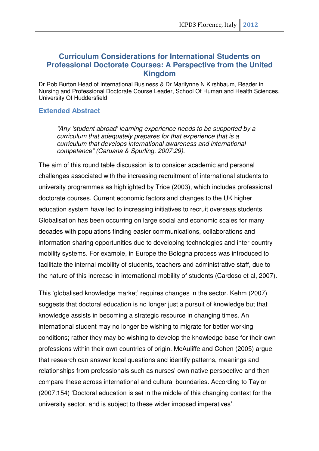## **Curriculum Considerations for International Students on Professional Doctorate Courses: A Perspective from the United Kingdom**

Dr Rob Burton Head of International Business & Dr Marilynne N Kirshbaum, Reader in Nursing and Professional Doctorate Course Leader, School Of Human and Health Sciences, University Of Huddersfield

## **Extended Abstract**

"Any 'student abroad' learning experience needs to be supported by a curriculum that adequately prepares for that experience that is a curriculum that develops international awareness and international competence" (Caruana & Spurling, 2007:29).

The aim of this round table discussion is to consider academic and personal challenges associated with the increasing recruitment of international students to university programmes as highlighted by Trice (2003), which includes professional doctorate courses. Current economic factors and changes to the UK higher education system have led to increasing initiatives to recruit overseas students. Globalisation has been occurring on large social and economic scales for many decades with populations finding easier communications, collaborations and information sharing opportunities due to developing technologies and inter-country mobility systems. For example, in Europe the Bologna process was introduced to facilitate the internal mobility of students, teachers and administrative staff, due to the nature of this increase in international mobility of students (Cardoso et al, 2007).

This 'globalised knowledge market' requires changes in the sector. Kehm (2007) suggests that doctoral education is no longer just a pursuit of knowledge but that knowledge assists in becoming a strategic resource in changing times. An international student may no longer be wishing to migrate for better working conditions; rather they may be wishing to develop the knowledge base for their own professions within their own countries of origin. McAuliffe and Cohen (2005) argue that research can answer local questions and identify patterns, meanings and relationships from professionals such as nurses' own native perspective and then compare these across international and cultural boundaries. According to Taylor (2007:154) 'Doctoral education is set in the middle of this changing context for the university sector, and is subject to these wider imposed imperatives**'**.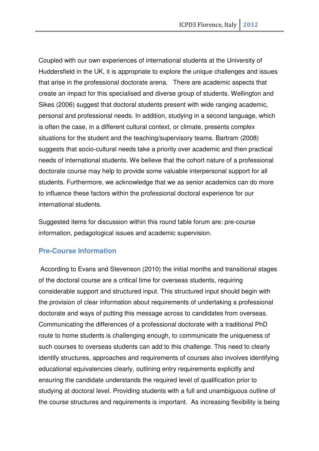Coupled with our own experiences of international students at the University of Huddersfield in the UK, it is appropriate to explore the unique challenges and issues that arise in the professional doctorate arena. There are academic aspects that create an impact for this specialised and diverse group of students. Wellington and Sikes (2006) suggest that doctoral students present with wide ranging academic, personal and professional needs. In addition, studying in a second language, which is often the case, in a different cultural context, or climate, presents complex situations for the student and the teaching/supervisory teams. Bartram (2008) suggests that socio-cultural needs take a priority over academic and then practical needs of international students. We believe that the cohort nature of a professional doctorate course may help to provide some valuable interpersonal support for all students. Furthermore, we acknowledge that we as senior academics can do more to influence these factors within the professional doctoral experience for our international students.

Suggested items for discussion within this round table forum are: pre-course information, pedagological issues and academic supervision.

## **Pre-Course Information**

 According to Evans and Stevenson (2010) the initial months and transitional stages of the doctoral course are a critical time for overseas students, requiring considerable support and structured input. This structured input should begin with the provision of clear information about requirements of undertaking a professional doctorate and ways of putting this message across to candidates from overseas. Communicating the differences of a professional doctorate with a traditional PhD route to home students is challenging enough, to communicate the uniqueness of such courses to overseas students can add to this challenge. This need to clearly identify structures, approaches and requirements of courses also involves identifying educational equivalencies clearly, outlining entry requirements explicitly and ensuring the candidate understands the required level of qualification prior to studying at doctoral level. Providing students with a full and unambiguous outline of the course structures and requirements is important. As increasing flexibility is being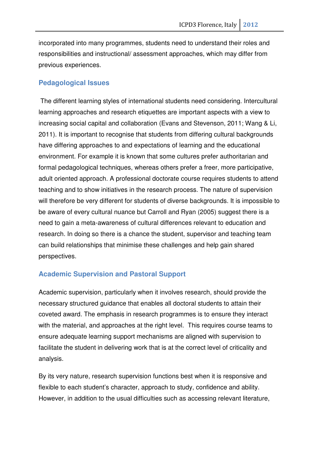incorporated into many programmes, students need to understand their roles and responsibilities and instructional/ assessment approaches, which may differ from previous experiences.

## **Pedagological Issues**

 The different learning styles of international students need considering. Intercultural learning approaches and research etiquettes are important aspects with a view to increasing social capital and collaboration (Evans and Stevenson, 2011; Wang & Li, 2011). It is important to recognise that students from differing cultural backgrounds have differing approaches to and expectations of learning and the educational environment. For example it is known that some cultures prefer authoritarian and formal pedagological techniques, whereas others prefer a freer, more participative, adult oriented approach. A professional doctorate course requires students to attend teaching and to show initiatives in the research process. The nature of supervision will therefore be very different for students of diverse backgrounds. It is impossible to be aware of every cultural nuance but Carroll and Ryan (2005) suggest there is a need to gain a meta-awareness of cultural differences relevant to education and research. In doing so there is a chance the student, supervisor and teaching team can build relationships that minimise these challenges and help gain shared perspectives.

## **Academic Supervision and Pastoral Support**

Academic supervision, particularly when it involves research, should provide the necessary structured guidance that enables all doctoral students to attain their coveted award. The emphasis in research programmes is to ensure they interact with the material, and approaches at the right level. This requires course teams to ensure adequate learning support mechanisms are aligned with supervision to facilitate the student in delivering work that is at the correct level of criticality and analysis.

By its very nature, research supervision functions best when it is responsive and flexible to each student's character, approach to study, confidence and ability. However, in addition to the usual difficulties such as accessing relevant literature,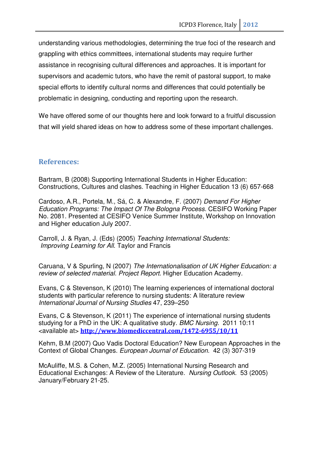understanding various methodologies, determining the true foci of the research and grappling with ethics committees, international students may require further assistance in recognising cultural differences and approaches. It is important for supervisors and academic tutors, who have the remit of pastoral support, to make special efforts to identify cultural norms and differences that could potentially be problematic in designing, conducting and reporting upon the research.

We have offered some of our thoughts here and look forward to a fruitful discussion that will yield shared ideas on how to address some of these important challenges.

#### References:

Bartram, B (2008) Supporting International Students in Higher Education: Constructions, Cultures and clashes. Teaching in Higher Education 13 (6) 657-668

Cardoso, A.R., Portela, M., Sá, C. & Alexandre, F. (2007) Demand For Higher Education Programs: The Impact Of The Bologna Process. CESIFO Working Paper No. 2081. Presented at CESIFO Venice Summer Institute, Workshop on Innovation and Higher education July 2007.

Carroll, J. & Ryan, J. (Eds) (2005) Teaching International Students: Improving Learning for All. Taylor and Francis

Caruana, V & Spurling, N (2007) The Internationalisation of UK Higher Education: a review of selected material. Project Report. Higher Education Academy.

Evans, C & Stevenson, K (2010) The learning experiences of international doctoral students with particular reference to nursing students: A literature review International Journal of Nursing Studies 47, 239–250

Evans, C & Stevenson, K (2011) The experience of international nursing students studying for a PhD in the UK: A qualitative study. BMC Nursing. 2011 10:11 <available at> http://www.biomediccentral.com/1472-6955/10/11

Kehm, B.M (2007) Quo Vadis Doctoral Education? New European Approaches in the Context of Global Changes. European Journal of Education. 42 (3) 307-319

McAuliffe, M.S. & Cohen, M.Z. (2005) International Nursing Research and Educational Exchanges: A Review of the Literature. Nursing Outlook. 53 (2005) January/February 21-25.